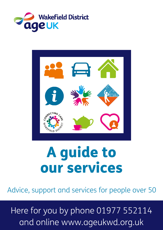



# A guide to our services

Advice, support and services for people over 50

Here for you by phone 01977 552114 and online www.ageukwd.org.uk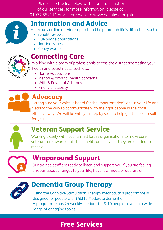Please see the list below with a brief description of our services, for more information, please call 01977 552114 or visit our website www.ageukwd.org.uk



### Information and Advice

A free advice line offering support and help through life's difficulties such as

- Benefit reviews
- Blue badge applications
- Housing issues
- Money worries



#### Connecting Care

Working with a team of professionals across the district addressing your health and social needs such as...

- Home Adaptations
- Mental & physical health concerns
- Wills & Power of Attorney
- Financial stability



#### Advocacy

Making sure your voice is heard for the important decisions in your life and clearing the way to communicate with the right people in the most effective way. We will be with you step by step to help get the best results for you.



# Veteran Support Service

Working closely with local armed forces organisations to make sure veterans are aware of all the benefits and services they are entitled to receive.



### Wraparound Support

Our trained staff are ready to listen and support you if you are feeling anxious about changes to your life, have low mood or depression.



### Dementia Group Therapy

Using the Cognitive Stimulation Therapy method, this programme is designed for people with Mild to Moderate dementia. A programme has 24 weekly sessions for 8-10 people covering a wide range of engaging topics.

# Free Services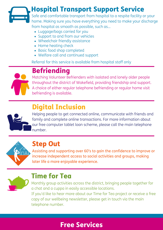## Hospital Transport Support Service

Safe and comfortable transport from hospital to a respite facility or your home. Making sure you have everything you need to make your discharge from hospital as smooth as possible, such as...

- Luggage/bags carried for you
- Support to and from our vehicles
- Wheelchair friendly assistance
- Home heating check
- Basic food shop completed
- Welfare call and continued support

Referral for this service is available from hospital staff only

# **Befriending**

Matching Volunteer Befrienders with isolated and lonely older people throughout the district of Wakefield, providing friendship and support. A choice of either regular telephone befriending or regular home visit befriending is available.

## Digital Inclusion



Helping people to get connected online, communicate with friends and family and complete online transactions. For more information about our free computer tablet loan scheme, please call the main telephone number.



#### Step Out

Assisting and supporting over 60's to gain the confidence to improve or increase independent access to social activities and groups, making later life a more enjoyable experience.



#### Time for Tea

Monthly group activities across the district, bringing people together for a chat and a cuppa in easily accessible locations. If you'd like to hear more about our Time for Tea project or receive a free copy of our wellbeing newsletter, please get in touch via the main telephone number.

### Free Services